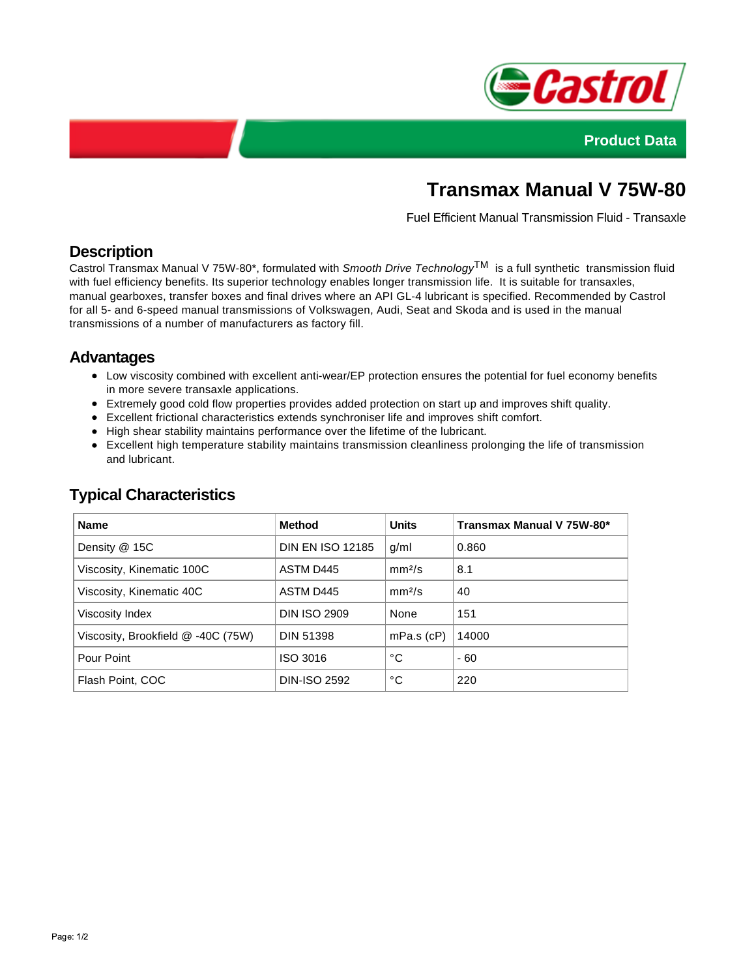



# **Transmax Manual V 75W-80**

Fuel Efficient Manual Transmission Fluid - Transaxle

## **Description**

Castrol Transmax Manual V 75W-80\*, formulated with Smooth Drive Technology<sup>TM</sup> is a full synthetic transmission fluid with fuel efficiency benefits. Its superior technology enables longer transmission life. It is suitable for transaxles, manual gearboxes, transfer boxes and final drives where an API GL-4 lubricant is specified. Recommended by Castrol for all 5- and 6-speed manual transmissions of Volkswagen, Audi, Seat and Skoda and is used in the manual transmissions of a number of manufacturers as factory fill.

### **Advantages**

- Low viscosity combined with excellent anti-wear/EP protection ensures the potential for fuel economy benefits in more severe transaxle applications.
- Extremely good cold flow properties provides added protection on start up and improves shift quality.
- Excellent frictional characteristics extends synchroniser life and improves shift comfort.
- High shear stability maintains performance over the lifetime of the lubricant.
- Excellent high temperature stability maintains transmission cleanliness prolonging the life of transmission and lubricant.

| <b>Name</b>                        | <b>Method</b>           | <b>Units</b>       | Transmax Manual V 75W-80* |
|------------------------------------|-------------------------|--------------------|---------------------------|
| Density @ 15C                      | <b>DIN EN ISO 12185</b> | g/ml               | 0.860                     |
| Viscosity, Kinematic 100C          | ASTM D445               | mm <sup>2</sup> /s | 8.1                       |
| Viscosity, Kinematic 40C           | ASTM D445               | mm <sup>2</sup> /s | 40                        |
| Viscosity Index                    | <b>DIN ISO 2909</b>     | None               | 151                       |
| Viscosity, Brookfield @ -40C (75W) | <b>DIN 51398</b>        | $mPa.s$ (cP)       | 14000                     |
| Pour Point                         | ISO 3016                | °C                 | $-60$                     |
| Flash Point, COC                   | <b>DIN-ISO 2592</b>     | °C                 | 220                       |

## **Typical Characteristics**